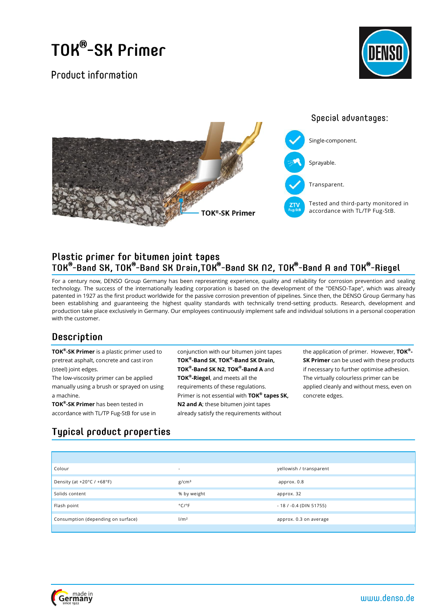## TOK®-SK Primer

Product information





# Plastic primer for bitumen joint tapes<br>TOK®-Band SK, TOK®-Band SK Drain,TOK®-Band SK N2, TOK®-Band A and TOK®-Riegel

For a century now, DENSO Group Germany has been representing experience, quality and reliability for corrosion prevention and sealing technology. The success of the internationally leading corporation is based on the development of the "DENSO-Tape", which was already patented in 1927 as the first product worldwide for the passive corrosion prevention of pipelines. Since then, the DENSO Group Germany has been establishing and guaranteeing the highest quality standards with technically trend-setting products. Research, development and production take place exclusively in Germany. Our employees continuously implement safe and individual solutions in a personal cooperation with the customer.

## Description

**TOK® -SK Primer** is a plastic primer used to pretreat asphalt, concrete and cast iron (steel) joint edges.

The low-viscosity primer can be applied manually using a brush or sprayed on using a machine.

**TOK® -SK Primer** has been tested in accordance with TL/TP Fug-StB for use in conjunction with our bitumen joint tapes **TOK® -Band SK**, **TOK® -Band SK Drain, TOK® -Band SK N2**, **TOK® -Band A** and **TOK® -Riegel**, and meets all the requirements of these regulations. Primer is not essential with **TOK® tapes SK, N2 and A**; these bitumen joint tapes already satisfy the requirements without

the application of primer. However, **TOK® - SK Primer** can be used with these products if necessary to further optimise adhesion. The virtually colourless primer can be applied cleanly and without mess, even on concrete edges.

## **Typical product properties**

| Colour                             | $\overline{\phantom{0}}$   | yellowish / transparent    |
|------------------------------------|----------------------------|----------------------------|
| Density (at +20°C / +68°F)         | g/cm <sup>3</sup>          | approx. 0.8                |
| Solids content                     | % by weight                | approx. 32                 |
| Flash point                        | $^{\circ}$ C/ $^{\circ}$ F | $-18$ / $-0.4$ (DIN 51755) |
| Consumption (depending on surface) | 1/m <sup>2</sup>           | approx. 0.3 on average     |
|                                    |                            |                            |